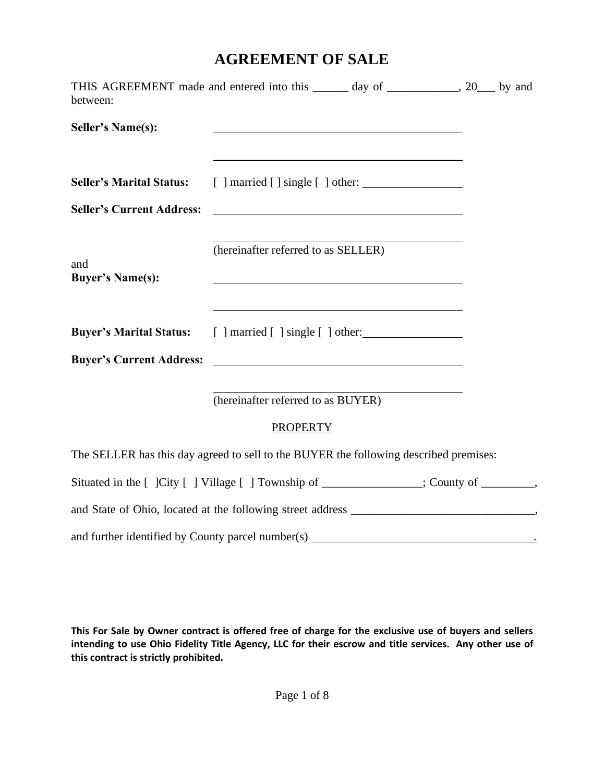## **AGREEMENT OF SALE**

| between:                                                                             | THIS AGREEMENT made and entered into this ______ day of ___________, 20___ by and                                                                            |  |
|--------------------------------------------------------------------------------------|--------------------------------------------------------------------------------------------------------------------------------------------------------------|--|
| <b>Seller's Name(s):</b>                                                             |                                                                                                                                                              |  |
| <b>Seller's Marital Status:</b>                                                      |                                                                                                                                                              |  |
| <b>Seller's Current Address:</b>                                                     | <u> 1980 - Johann Barbara, martxa alemaniar amerikan a</u>                                                                                                   |  |
| and<br><b>Buyer's Name(s):</b>                                                       | (hereinafter referred to as SELLER)<br><u> 1989 - Johann Stoff, deutscher Stoff, der Stoff, der Stoff, der Stoff, der Stoff, der Stoff, der Stoff, der S</u> |  |
|                                                                                      | <b>Buyer's Marital Status:</b> [ ] married [ ] single [ ] other:                                                                                             |  |
| <b>Buyer's Current Address:</b>                                                      |                                                                                                                                                              |  |
|                                                                                      | (hereinafter referred to as BUYER)                                                                                                                           |  |
|                                                                                      | <b>PROPERTY</b>                                                                                                                                              |  |
|                                                                                      | The SELLER has this day agreed to sell to the BUYER the following described premises:                                                                        |  |
| Situated in the [ ]City [ ] Village [ ] Township of ____________; County of _______, |                                                                                                                                                              |  |
|                                                                                      |                                                                                                                                                              |  |
|                                                                                      |                                                                                                                                                              |  |

**This For Sale by Owner contract is offered free of charge for the exclusive use of buyers and sellers intending to use Ohio Fidelity Title Agency, LLC for their escrow and title services. Any other use of this contract is strictly prohibited.**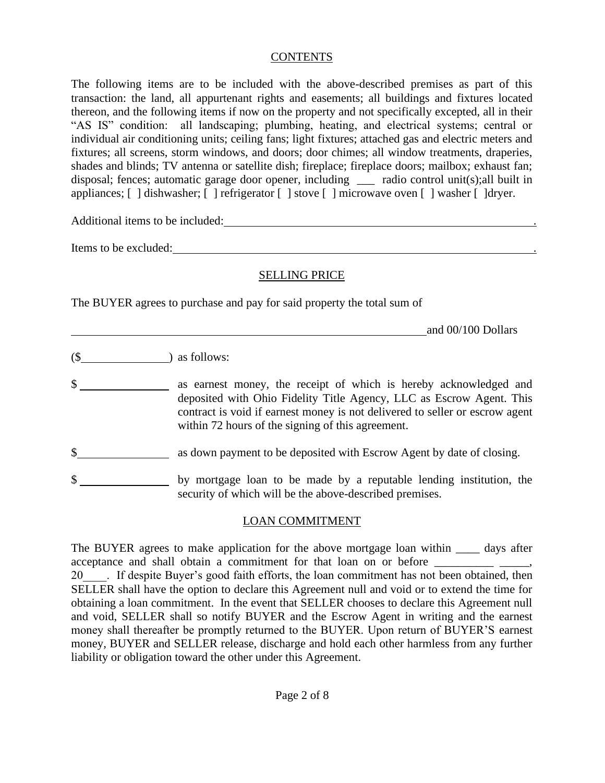#### **CONTENTS**

The following items are to be included with the above-described premises as part of this transaction: the land, all appurtenant rights and easements; all buildings and fixtures located thereon, and the following items if now on the property and not specifically excepted, all in their "AS IS" condition: all landscaping; plumbing, heating, and electrical systems; central or individual air conditioning units; ceiling fans; light fixtures; attached gas and electric meters and fixtures; all screens, storm windows, and doors; door chimes; all window treatments, draperies, shades and blinds; TV antenna or satellite dish; fireplace; fireplace doors; mailbox; exhaust fan; disposal; fences; automatic garage door opener, including \_\_\_ radio control unit(s);all built in appliances; [ ] dishwasher; [ ] refrigerator [ ] stove [ ] microwave oven [ ] washer [ ]dryer.

Additional items to be included: .

Items to be excluded:  $\blacksquare$ 

#### SELLING PRICE

The BUYER agrees to purchase and pay for said property the total sum of

and 00/100 Dollars

 $($$  as follows:

\$ deposited with Ohio Fidelity Title Agency, LLC as Escrow Agent. This contract is void if earnest money is not delivered to seller or escrow agent within 72 hours of the signing of this agreement.

- \$ as down payment to be deposited with Escrow Agent by date of closing.
- \$ security of which will be the above-described premises.

#### LOAN COMMITMENT

The BUYER agrees to make application for the above mortgage loan within \_\_\_\_\_ days after acceptance and shall obtain a commitment for that loan on or before 20 The Survey's good faith efforts, the loan commitment has not been obtained, then SELLER shall have the option to declare this Agreement null and void or to extend the time for obtaining a loan commitment. In the event that SELLER chooses to declare this Agreement null and void, SELLER shall so notify BUYER and the Escrow Agent in writing and the earnest money shall thereafter be promptly returned to the BUYER. Upon return of BUYER'S earnest money, BUYER and SELLER release, discharge and hold each other harmless from any further liability or obligation toward the other under this Agreement.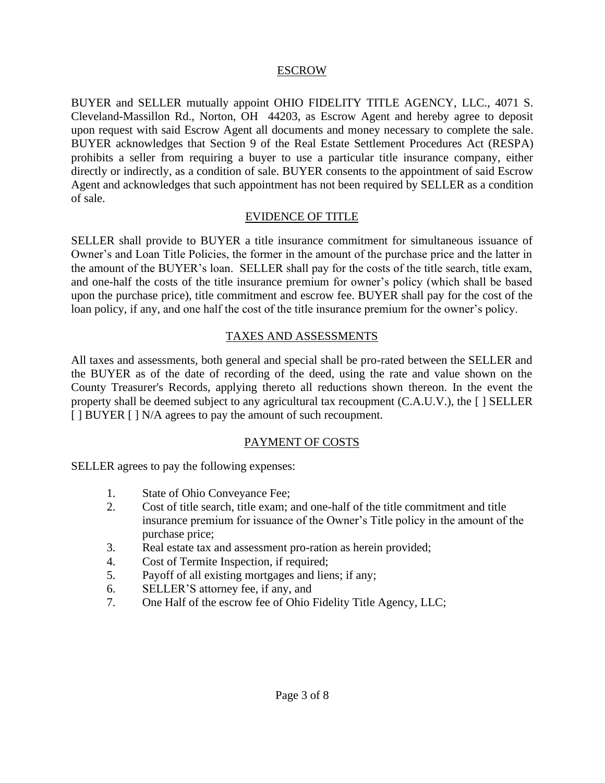#### ESCROW

BUYER and SELLER mutually appoint OHIO FIDELITY TITLE AGENCY, LLC., 4071 S. Cleveland-Massillon Rd., Norton, OH 44203, as Escrow Agent and hereby agree to deposit upon request with said Escrow Agent all documents and money necessary to complete the sale. BUYER acknowledges that Section 9 of the Real Estate Settlement Procedures Act (RESPA) prohibits a seller from requiring a buyer to use a particular title insurance company, either directly or indirectly, as a condition of sale. BUYER consents to the appointment of said Escrow Agent and acknowledges that such appointment has not been required by SELLER as a condition of sale.

#### EVIDENCE OF TITLE

SELLER shall provide to BUYER a title insurance commitment for simultaneous issuance of Owner's and Loan Title Policies, the former in the amount of the purchase price and the latter in the amount of the BUYER's loan. SELLER shall pay for the costs of the title search, title exam, and one-half the costs of the title insurance premium for owner's policy (which shall be based upon the purchase price), title commitment and escrow fee. BUYER shall pay for the cost of the loan policy, if any, and one half the cost of the title insurance premium for the owner's policy.

#### TAXES AND ASSESSMENTS

All taxes and assessments, both general and special shall be pro-rated between the SELLER and the BUYER as of the date of recording of the deed, using the rate and value shown on the County Treasurer's Records, applying thereto all reductions shown thereon. In the event the property shall be deemed subject to any agricultural tax recoupment (C.A.U.V.), the [ ] SELLER [ ] BUYER [ ] N/A agrees to pay the amount of such recoupment.

#### PAYMENT OF COSTS

SELLER agrees to pay the following expenses:

- 1. State of Ohio Conveyance Fee;
- 2. Cost of title search, title exam; and one-half of the title commitment and title insurance premium for issuance of the Owner's Title policy in the amount of the purchase price;
- 3. Real estate tax and assessment pro-ration as herein provided;
- 4. Cost of Termite Inspection, if required;
- 5. Payoff of all existing mortgages and liens; if any;
- 6. SELLER'S attorney fee, if any, and
- 7. One Half of the escrow fee of Ohio Fidelity Title Agency, LLC;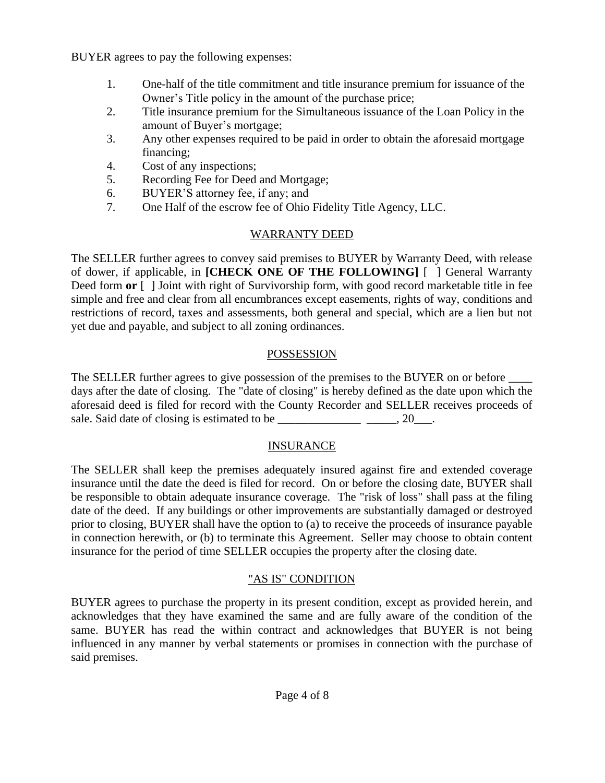BUYER agrees to pay the following expenses:

- 1. One-half of the title commitment and title insurance premium for issuance of the Owner's Title policy in the amount of the purchase price;
- 2. Title insurance premium for the Simultaneous issuance of the Loan Policy in the amount of Buyer's mortgage;
- 3. Any other expenses required to be paid in order to obtain the aforesaid mortgage financing;
- 4. Cost of any inspections;
- 5. Recording Fee for Deed and Mortgage;
- 6. BUYER'S attorney fee, if any; and
- 7. One Half of the escrow fee of Ohio Fidelity Title Agency, LLC.

## WARRANTY DEED

The SELLER further agrees to convey said premises to BUYER by Warranty Deed, with release of dower, if applicable, in **[CHECK ONE OF THE FOLLOWING]** [ ] General Warranty Deed form **or**  $\lceil \cdot \rceil$  Joint with right of Survivorship form, with good record marketable title in fee simple and free and clear from all encumbrances except easements, rights of way, conditions and restrictions of record, taxes and assessments, both general and special, which are a lien but not yet due and payable, and subject to all zoning ordinances.

## POSSESSION

The SELLER further agrees to give possession of the premises to the BUYER on or before days after the date of closing. The "date of closing" is hereby defined as the date upon which the aforesaid deed is filed for record with the County Recorder and SELLER receives proceeds of sale. Said date of closing is estimated to be \_\_\_\_\_\_\_\_\_\_\_\_\_\_\_\_\_\_\_\_\_\_\_, 20\_\_\_.

## INSURANCE

The SELLER shall keep the premises adequately insured against fire and extended coverage insurance until the date the deed is filed for record. On or before the closing date, BUYER shall be responsible to obtain adequate insurance coverage. The "risk of loss" shall pass at the filing date of the deed. If any buildings or other improvements are substantially damaged or destroyed prior to closing, BUYER shall have the option to (a) to receive the proceeds of insurance payable in connection herewith, or (b) to terminate this Agreement. Seller may choose to obtain content insurance for the period of time SELLER occupies the property after the closing date.

## "AS IS" CONDITION

BUYER agrees to purchase the property in its present condition, except as provided herein, and acknowledges that they have examined the same and are fully aware of the condition of the same. BUYER has read the within contract and acknowledges that BUYER is not being influenced in any manner by verbal statements or promises in connection with the purchase of said premises.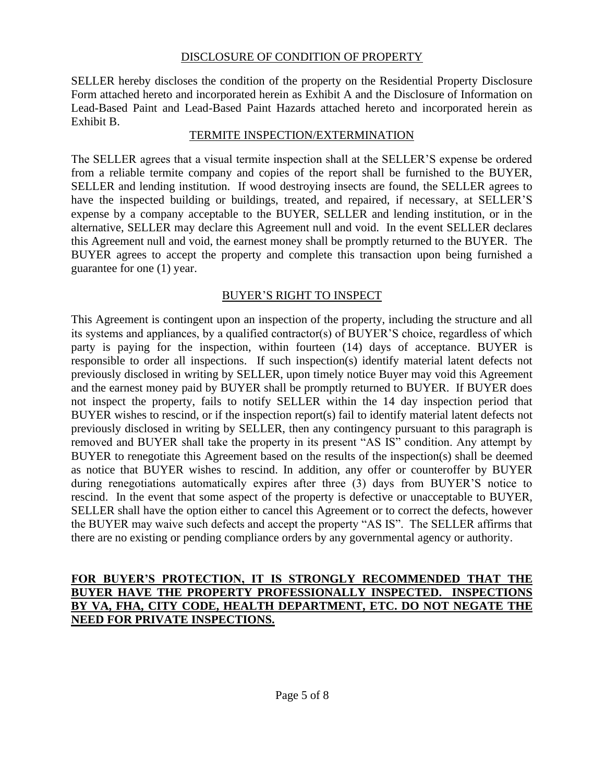#### DISCLOSURE OF CONDITION OF PROPERTY

SELLER hereby discloses the condition of the property on the Residential Property Disclosure Form attached hereto and incorporated herein as Exhibit A and the Disclosure of Information on Lead-Based Paint and Lead-Based Paint Hazards attached hereto and incorporated herein as Exhibit B.

#### TERMITE INSPECTION/EXTERMINATION

The SELLER agrees that a visual termite inspection shall at the SELLER'S expense be ordered from a reliable termite company and copies of the report shall be furnished to the BUYER, SELLER and lending institution. If wood destroying insects are found, the SELLER agrees to have the inspected building or buildings, treated, and repaired, if necessary, at SELLER'S expense by a company acceptable to the BUYER, SELLER and lending institution, or in the alternative, SELLER may declare this Agreement null and void. In the event SELLER declares this Agreement null and void, the earnest money shall be promptly returned to the BUYER. The BUYER agrees to accept the property and complete this transaction upon being furnished a guarantee for one (1) year.

#### BUYER'S RIGHT TO INSPECT

This Agreement is contingent upon an inspection of the property, including the structure and all its systems and appliances, by a qualified contractor(s) of BUYER'S choice, regardless of which party is paying for the inspection, within fourteen (14) days of acceptance. BUYER is responsible to order all inspections. If such inspection(s) identify material latent defects not previously disclosed in writing by SELLER, upon timely notice Buyer may void this Agreement and the earnest money paid by BUYER shall be promptly returned to BUYER. If BUYER does not inspect the property, fails to notify SELLER within the 14 day inspection period that BUYER wishes to rescind, or if the inspection report(s) fail to identify material latent defects not previously disclosed in writing by SELLER, then any contingency pursuant to this paragraph is removed and BUYER shall take the property in its present "AS IS" condition. Any attempt by BUYER to renegotiate this Agreement based on the results of the inspection(s) shall be deemed as notice that BUYER wishes to rescind. In addition, any offer or counteroffer by BUYER during renegotiations automatically expires after three (3) days from BUYER'S notice to rescind. In the event that some aspect of the property is defective or unacceptable to BUYER, SELLER shall have the option either to cancel this Agreement or to correct the defects, however the BUYER may waive such defects and accept the property "AS IS". The SELLER affirms that there are no existing or pending compliance orders by any governmental agency or authority.

#### **FOR BUYER'S PROTECTION, IT IS STRONGLY RECOMMENDED THAT THE BUYER HAVE THE PROPERTY PROFESSIONALLY INSPECTED. INSPECTIONS BY VA, FHA, CITY CODE, HEALTH DEPARTMENT, ETC. DO NOT NEGATE THE NEED FOR PRIVATE INSPECTIONS.**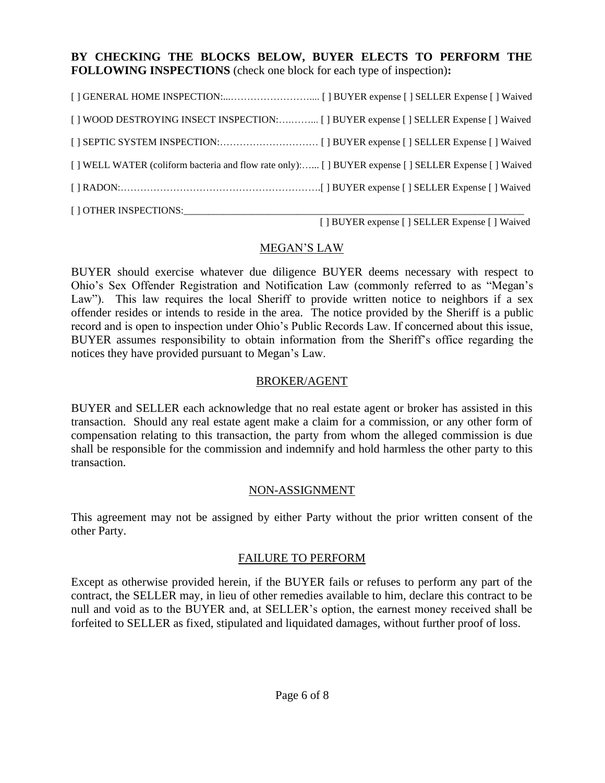#### **BY CHECKING THE BLOCKS BELOW, BUYER ELECTS TO PERFORM THE FOLLOWING INSPECTIONS** (check one block for each type of inspection)**:**

| [] WELL WATER (coliform bacteria and flow rate only): [] BUYER expense [] SELLER Expense [] Waived |  |
|----------------------------------------------------------------------------------------------------|--|
|                                                                                                    |  |
| [] OTHER INSPECTIONS:_____________                                                                 |  |

[ ] BUYER expense [ ] SELLER Expense [ ] Waived

#### MEGAN'S LAW

BUYER should exercise whatever due diligence BUYER deems necessary with respect to Ohio's Sex Offender Registration and Notification Law (commonly referred to as "Megan's Law"). This law requires the local Sheriff to provide written notice to neighbors if a sex offender resides or intends to reside in the area. The notice provided by the Sheriff is a public record and is open to inspection under Ohio's Public Records Law. If concerned about this issue, BUYER assumes responsibility to obtain information from the Sheriff's office regarding the notices they have provided pursuant to Megan's Law.

#### BROKER/AGENT

BUYER and SELLER each acknowledge that no real estate agent or broker has assisted in this transaction. Should any real estate agent make a claim for a commission, or any other form of compensation relating to this transaction, the party from whom the alleged commission is due shall be responsible for the commission and indemnify and hold harmless the other party to this transaction.

#### NON-ASSIGNMENT

This agreement may not be assigned by either Party without the prior written consent of the other Party.

#### FAILURE TO PERFORM

Except as otherwise provided herein, if the BUYER fails or refuses to perform any part of the contract, the SELLER may, in lieu of other remedies available to him, declare this contract to be null and void as to the BUYER and, at SELLER's option, the earnest money received shall be forfeited to SELLER as fixed, stipulated and liquidated damages, without further proof of loss.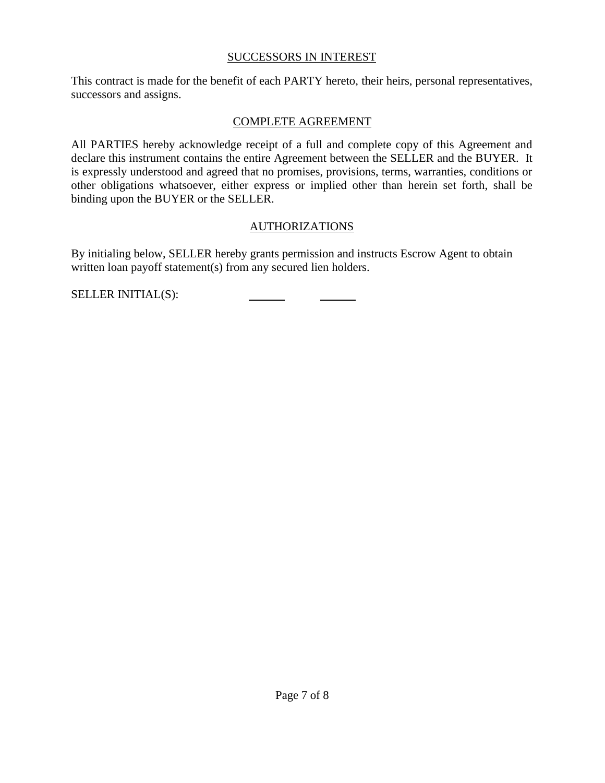#### SUCCESSORS IN INTEREST

This contract is made for the benefit of each PARTY hereto, their heirs, personal representatives, successors and assigns.

#### COMPLETE AGREEMENT

All PARTIES hereby acknowledge receipt of a full and complete copy of this Agreement and declare this instrument contains the entire Agreement between the SELLER and the BUYER. It is expressly understood and agreed that no promises, provisions, terms, warranties, conditions or other obligations whatsoever, either express or implied other than herein set forth, shall be binding upon the BUYER or the SELLER.

### AUTHORIZATIONS

By initialing below, SELLER hereby grants permission and instructs Escrow Agent to obtain written loan payoff statement(s) from any secured lien holders.

SELLER INITIAL(S):